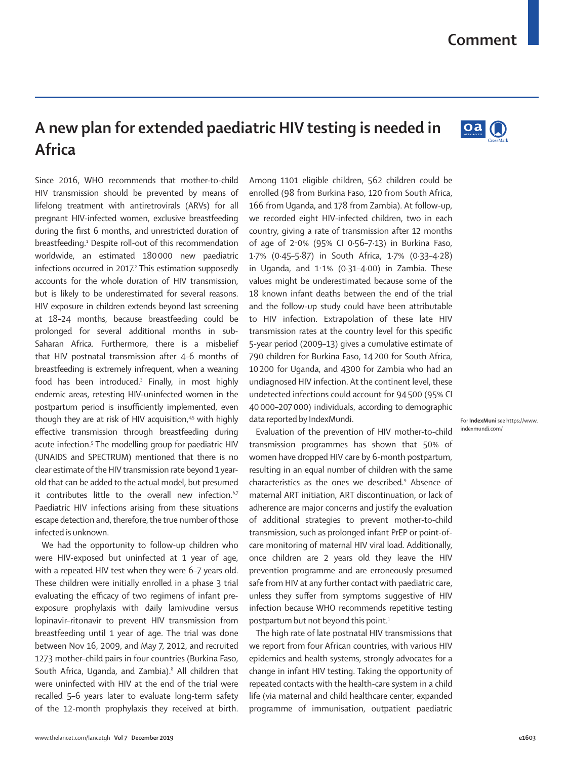## **A new plan for extended paediatric HIV testing is needed in Africa**

Since 2016, WHO recommends that mother-to-child HIV transmission should be prevented by means of lifelong treatment with antiretrovirals (ARVs) for all pregnant HIV-infected women, exclusive breastfeeding during the first 6 months, and unrestricted duration of breastfeeding.1 Despite roll-out of this recommendation worldwide, an estimated 180000 new paediatric infections occurred in 2017. 2 This estimation supposedly accounts for the whole duration of HIV transmission, but is likely to be underestimated for several reasons. HIV exposure in children extends beyond last screening at 18–24 months, because breastfeeding could be prolonged for several additional months in sub-Saharan Africa. Furthermore, there is a misbelief that HIV postnatal transmission after 4–6 months of breastfeeding is extremely infrequent, when a weaning food has been introduced.3 Finally, in most highly endemic areas, retesting HIV-uninfected women in the postpartum period is insufficiently implemented, even though they are at risk of HIV acquisition,<sup>4,5</sup> with highly effective transmission through breastfeeding during acute infection.<sup>5</sup> The modelling group for paediatric HIV (UNAIDS and SPECTRUM) mentioned that there is no clear estimate of the HIV transmission rate beyond 1 yearold that can be added to the actual model, but presumed it contributes little to the overall new infection.<sup>6,7</sup> Paediatric HIV infections arising from these situations escape detection and, therefore, the true number of those infected is unknown.

We had the opportunity to follow-up children who were HIV-exposed but uninfected at 1 year of age, with a repeated HIV test when they were 6–7 years old. These children were initially enrolled in a phase 3 trial evaluating the efficacy of two regimens of infant preexposure prophylaxis with daily lamivudine versus lopinavir–ritonavir to prevent HIV transmission from breastfeeding until 1 year of age. The trial was done between Nov 16, 2009, and May 7, 2012, and recruited 1273 mother–child pairs in four countries (Burkina Faso, South Africa, Uganda, and Zambia).<sup>8</sup> All children that were uninfected with HIV at the end of the trial were recalled 5–6 years later to evaluate long-term safety of the 12-month prophylaxis they received at birth. Among 1101 eligible children, 562 children could be enrolled (98 from Burkina Faso, 120 from South Africa, 166 from Uganda, and 178 from Zambia). At follow-up, we recorded eight HIV-infected children, two in each country, giving a rate of transmission after 12 months of age of 2·0% (95% CI 0·56–7·13) in Burkina Faso, 1·7% (0·45–5·87) in South Africa, 1·7% (0·33–4·28) in Uganda, and 1·1% (0·31–4·00) in Zambia. These values might be underestimated because some of the 18 known infant deaths between the end of the trial and the follow-up study could have been attributable to HIV infection. Extrapolation of these late HIV transmission rates at the country level for this specific 5-year period (2009–13) gives a cumulative estimate of 790 children for Burkina Faso, 14200 for South Africa, 10200 for Uganda, and 4300 for Zambia who had an undiagnosed HIV infection. At the continent level, these undetected infections could account for 94500 (95% CI 40000–207000) individuals, according to demographic data reported by [IndexMundi](https://www.indexmundi.com/).

Evaluation of the prevention of HIV mother-to-child transmission programmes has shown that 50% of women have dropped HIV care by 6-month postpartum, resulting in an equal number of children with the same characteristics as the ones we described.<sup>9</sup> Absence of maternal ART initiation, ART discontinuation, or lack of adherence are major concerns and justify the evaluation of additional strategies to prevent mother-to-child transmission, such as prolonged infant PrEP or point-ofcare monitoring of maternal HIV viral load. Additionally, once children are 2 years old they leave the HIV prevention programme and are erroneously presumed safe from HIV at any further contact with paediatric care, unless they suffer from symptoms suggestive of HIV infection because WHO recommends repetitive testing postpartum but not beyond this point.<sup>1</sup>

The high rate of late postnatal HIV transmissions that we report from four African countries, with various HIV epidemics and health systems, strongly advocates for a change in infant HIV testing. Taking the opportunity of repeated contacts with the health-care system in a child life (via maternal and child healthcare center, expanded programme of immunisation, outpatient paediatric

For **IndexMuni** see [https://www.](https://www.indexmundi.com/) [indexmundi.com/](https://www.indexmundi.com/)